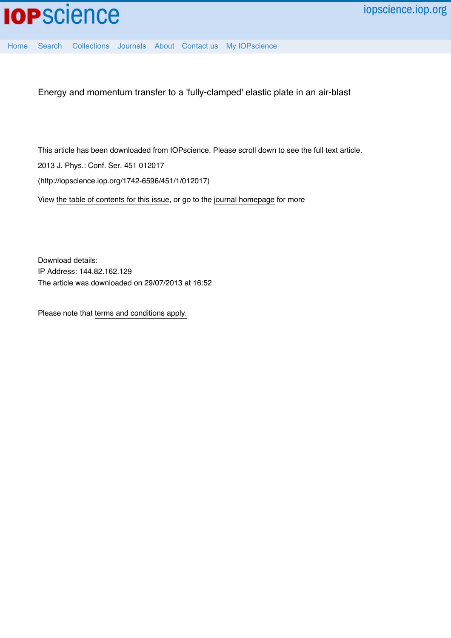

[Home](http://iopscience.iop.org/) [Search](http://iopscience.iop.org/search) [Collections](http://iopscience.iop.org/collections) [Journals](http://iopscience.iop.org/journals) [About](http://iopscience.iop.org/page/aboutioppublishing) [Contact us](http://iopscience.iop.org/contact) [My IOPscience](http://iopscience.iop.org/myiopscience)

Energy and momentum transfer to a 'fully-clamped' elastic plate in an air-blast

This article has been downloaded from IOPscience. Please scroll down to see the full text article.

2013 J. Phys.: Conf. Ser. 451 012017

(http://iopscience.iop.org/1742-6596/451/1/012017)

View [the table of contents for this issue](http://iopscience.iop.org/1742-6596/451/1), or go to the [journal homepage](http://iopscience.iop.org/1742-6596) for more

Download details: IP Address: 144.82.162.129 The article was downloaded on 29/07/2013 at 16:52

Please note that [terms and conditions apply.](http://iopscience.iop.org/page/terms)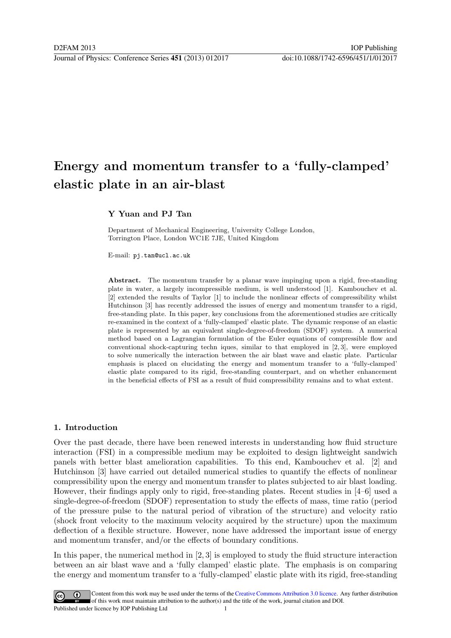# Energy and momentum transfer to a 'fully-clamped' elastic plate in an air-blast

## Y Yuan and PJ Tan

Department of Mechanical Engineering, University College London, Torrington Place, London WC1E 7JE, United Kingdom

E-mail: pj.tan@ucl.ac.uk

Abstract. The momentum transfer by a planar wave impinging upon a rigid, free-standing plate in water, a largely incompressible medium, is well understood [1]. Kambouchev et al.  $[2]$  extended the results of Taylor  $[1]$  to include the nonlinear effects of compressibility whilst Hutchinson [3] has recently addressed the issues of energy and momentum transfer to a rigid, free-standing plate. In this paper, key conclusions from the aforementioned studies are critically re-examined in the context of a 'fully-clamped' elastic plate. The dynamic response of an elastic plate is represented by an equivalent single-degree-of-freedom (SDOF) system. A numerical method based on a Lagrangian formulation of the Euler equations of compressible flow and conventional shock-capturing techn iques, similar to that employed in [2, 3], were employed to solve numerically the interaction between the air blast wave and elastic plate. Particular emphasis is placed on elucidating the energy and momentum transfer to a 'fully-clamped' elastic plate compared to its rigid, free-standing counterpart, and on whether enhancement in the beneficial effects of FSI as a result of fluid compressibility remains and to what extent.

#### 1. Introduction

Over the past decade, there have been renewed interests in understanding how fluid structure interaction (FSI) in a compressible medium may be exploited to design lightweight sandwich panels with better blast amelioration capabilities. To this end, Kambouchev et al. [2] and Hutchinson [3] have carried out detailed numerical studies to quantify the effects of nonlinear compressibility upon the energy and momentum transfer to plates subjected to air blast loading. However, their findings apply only to rigid, free-standing plates. Recent studies in [4–6] used a single-degree-of-freedom (SDOF) representation to study the effects of mass, time ratio (period of the pressure pulse to the natural period of vibration of the structure) and velocity ratio (shock front velocity to the maximum velocity acquired by the structure) upon the maximum deflection of a flexible structure. However, none have addressed the important issue of energy and momentum transfer, and/or the effects of boundary conditions.

In this paper, the numerical method in [2, 3] is employed to study the fluid structure interaction between an air blast wave and a 'fully clamped' elastic plate. The emphasis is on comparing the energy and momentum transfer to a 'fully-clamped' elastic plate with its rigid, free-standing

Content from this work may be used under the terms of the Creative Commons Attribution 3.0 licence. Any further distribution  $(cc)$ of this work must maintain attribution to the author(s) and the title of the work, journal citation and DOI. Published under licence by IOP Publishing Ltd 1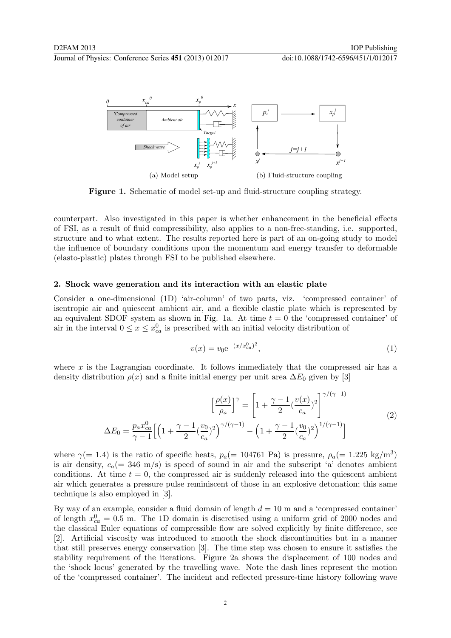

Figure 1. Schematic of model set-up and fluid-structure coupling strategy.

counterpart. Also investigated in this paper is whether enhancement in the beneficial effects of FSI, as a result of fluid compressibility, also applies to a non-free-standing, i.e. supported, structure and to what extent. The results reported here is part of an on-going study to model the influence of boundary conditions upon the momentum and energy transfer to deformable (elasto-plastic) plates through FSI to be published elsewhere.

#### 2. Shock wave generation and its interaction with an elastic plate

Consider a one-dimensional (1D) 'air-column' of two parts, viz. 'compressed container' of isentropic air and quiescent ambient air, and a flexible elastic plate which is represented by an equivalent SDOF system as shown in Fig. 1a. At time  $t = 0$  the 'compressed container' of air in the interval  $0 \le x \le x_{ca}^0$  is prescribed with an initial velocity distribution of

$$
v(x) = v_0 e^{-(x/x_{ca}^0)^2},
$$
\n(1)

where x is the Lagrangian coordinate. It follows immediately that the compressed air has a density distribution  $\rho(x)$  and a finite initial energy per unit area  $\Delta E_0$  given by [3]

$$
\left[\frac{\rho(x)}{\rho_a}\right]^\gamma = \left[1 + \frac{\gamma - 1}{2} \left(\frac{v(x)}{c_a}\right)^2\right]^{\gamma/(\gamma - 1)}
$$
\n
$$
\Delta E_0 = \frac{p_a x_{ca}^0}{\gamma - 1} \left[\left(1 + \frac{\gamma - 1}{2} \left(\frac{v_0}{c_a}\right)^2\right)^{\gamma/(\gamma - 1)} - \left(1 + \frac{\gamma - 1}{2} \left(\frac{v_0}{c_a}\right)^2\right)^{1/(\gamma - 1)}\right]
$$
\n(2)

where  $\gamma$ (= 1.4) is the ratio of specific heats,  $p_a$ (= 104761 Pa) is pressure,  $\rho_a$ (= 1.225 kg/m<sup>3</sup>) is air density,  $c_a(=346 \text{ m/s})$  is speed of sound in air and the subscript 'a' denotes ambient conditions. At time  $t = 0$ , the compressed air is suddenly released into the quiescent ambient air which generates a pressure pulse reminiscent of those in an explosive detonation; this same technique is also employed in [3].

By way of an example, consider a fluid domain of length  $d = 10$  m and a 'compressed container' of length  $x_{ca}^0 = 0.5$  m. The 1D domain is discretised using a uniform grid of 2000 nodes and the classical Euler equations of compressible flow are solved explicitly by finite difference, see [2]. Artificial viscosity was introduced to smooth the shock discontinuities but in a manner that still preserves energy conservation [3]. The time step was chosen to ensure it satisfies the stability requirement of the iterations. Figure 2a shows the displacement of 100 nodes and the 'shock locus' generated by the travelling wave. Note the dash lines represent the motion of the 'compressed container'. The incident and reflected pressure-time history following wave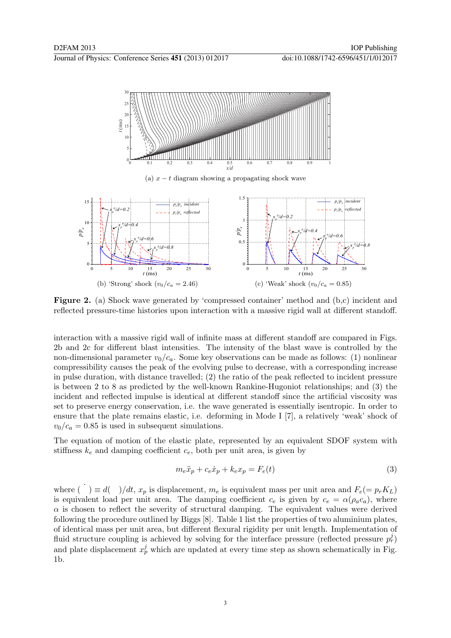Journal of Physics: Conference Series **451** (2013) 012017 doi:10.1088/1742-6596/451/1/012017



(a)  $x - t$  diagram showing a propagating shock wave



Figure 2. (a) Shock wave generated by 'compressed container' method and (b,c) incident and reflected pressure-time histories upon interaction with a massive rigid wall at different standoff.

interaction with a massive rigid wall of infinite mass at different standoff are compared in Figs. 2b and 2c for different blast intensities. The intensity of the blast wave is controlled by the non-dimensional parameter  $v_0/c_a$ . Some key observations can be made as follows: (1) nonlinear compressibility causes the peak of the evolving pulse to decrease, with a corresponding increase in pulse duration, with distance travelled; (2) the ratio of the peak reflected to incident pressure is between 2 to 8 as predicted by the well-known Rankine-Hugoniot relationships; and (3) the incident and reflected impulse is identical at different standoff since the artificial viscosity was set to preserve energy conservation, i.e. the wave generated is essentially isentropic. In order to ensure that the plate remains elastic, i.e. deforming in Mode I [7], a relatively 'weak' shock of  $v_0/c_a = 0.85$  is used in subsequent simulations.

The equation of motion of the elastic plate, represented by an equivalent SDOF system with stiffness  $k_e$  and damping coefficient  $c_e$ , both per unit area, is given by

$$
m_e \ddot{x}_p + c_e \dot{x}_p + k_e x_p = F_e(t)
$$
\n<sup>(3)</sup>

where  $\left( \begin{array}{c} \n\end{array} \right) \equiv d(-)/dt$ ,  $x_p$  is displacement,  $m_e$  is equivalent mass per unit area and  $F_e(=p_rK_L)$ is equivalent load per unit area. The damping coefficient  $c_e$  is given by  $c_e = \alpha(\rho_a c_a)$ , where  $\alpha$  is chosen to reflect the severity of structural damping. The equivalent values were derived following the procedure outlined by Biggs [8]. Table 1 list the properties of two aluminium plates, of identical mass per unit area, but different flexural rigidity per unit length. Implementation of fluid structure coupling is achieved by solving for the interface pressure (reflected pressure  $p_r^j$ ) and plate displacement  $x_p^j$  which are updated at every time step as shown schematically in Fig. 1b.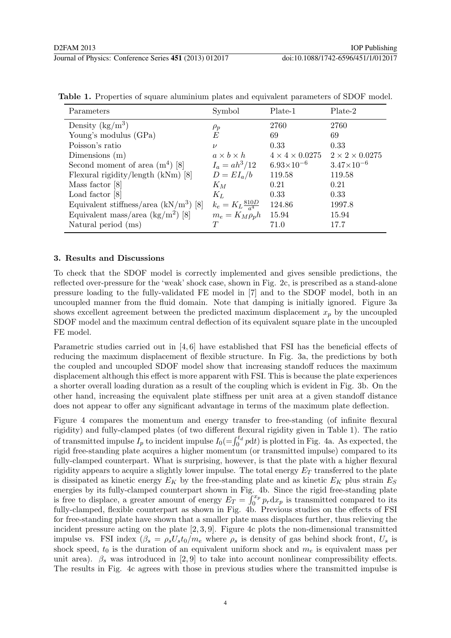| Parameters                               | Symbol                       | Plate-1                    | Plate-2                    |
|------------------------------------------|------------------------------|----------------------------|----------------------------|
| Density $(kg/m^3)$                       | $\rho_p$                     | 2760                       | 2760                       |
| Young's modulus (GPa)                    | E                            | 69                         | 69                         |
| Poisson's ratio                          | $\nu$                        | 0.33                       | 0.33                       |
| Dimensions $(m)$                         | $a \times b \times h$        | $4 \times 4 \times 0.0275$ | $2 \times 2 \times 0.0275$ |
| Second moment of area $(m4)$ [8]         | $I_a = ah^3/12$              | $6.93\times10^{-6}$        | $3.47\times10^{-6}$        |
| Flexural rigidity/length (kNm) [8]       | $D = EI_a/b$                 | 119.58                     | 119.58                     |
| Mass factor [8]                          | $K_M$                        | 0.21                       | 0.21                       |
| Load factor $[8]$                        | $K_L$                        | 0.33                       | 0.33                       |
| Equivalent stiffness/area $(kN/m^3)$ [8] | $k_e = K_L \frac{810D}{a^4}$ | 124.86                     | 1997.8                     |
| Equivalent mass/area $(kg/m^2)$ [8]      | $m_e = K_M \rho_p h$         | 15.94                      | 15.94                      |
| Natural period (ms)                      | T                            | 71.0                       | 17.7                       |

Table 1. Properties of square aluminium plates and equivalent parameters of SDOF model.

#### 3. Results and Discussions

To check that the SDOF model is correctly implemented and gives sensible predictions, the reflected over-pressure for the 'weak' shock case, shown in Fig. 2c, is prescribed as a stand-alone pressure loading to the fully-validated FE model in [7] and to the SDOF model, both in an uncoupled manner from the fluid domain. Note that damping is initially ignored. Figure 3a shows excellent agreement between the predicted maximum displacement  $x_p$  by the uncoupled SDOF model and the maximum central deflection of its equivalent square plate in the uncoupled FE model.

Parametric studies carried out in  $[4, 6]$  have established that FSI has the beneficial effects of reducing the maximum displacement of flexible structure. In Fig. 3a, the predictions by both the coupled and uncoupled SDOF model show that increasing standoff reduces the maximum displacement although this effect is more apparent with FSI. This is because the plate experiences a shorter overall loading duration as a result of the coupling which is evident in Fig. 3b. On the other hand, increasing the equivalent plate stiffness per unit area at a given standoff distance does not appear to offer any significant advantage in terms of the maximum plate deflection.

Figure 4 compares the momentum and energy transfer to free-standing (of infinite flexural rigidity) and fully-clamped plates (of two different flexural rigidity given in Table 1). The ratio of transmitted impulse  $I_p$  to incident impulse  $I_0(=\int_0^{t_d} pdt)$  is plotted in Fig. 4a. As expected, the rigid free-standing plate acquires a higher momentum (or transmitted impulse) compared to its fully-clamped counterpart. What is surprising, however, is that the plate with a higher flexural rigidity appears to acquire a slightly lower impulse. The total energy *E<sup>T</sup>* transferred to the plate is dissipated as kinetic energy  $E_K$  by the free-standing plate and as kinetic  $E_K$  plus strain  $E_S$ energies by its fully-clamped counterpart shown in Fig. 4b. Since the rigid free-standing plate is free to displace, a greater amount of energy  $E_T = \int_0^{x_p} p_r dx_p$  is transmitted compared to its fully-clamped, flexible counterpart as shown in Fig. 4b. Previous studies on the effects of FSI for free-standing plate have shown that a smaller plate mass displaces further, thus relieving the incident pressure acting on the plate [2, 3, 9]. Figure 4c plots the non-dimensional transmitted impulse vs. FSI index  $(\beta_s = \rho_s U_s t_0/m_e$  where  $\rho_s$  is density of gas behind shock front,  $U_s$  is shock speed,  $t_0$  is the duration of an equivalent uniform shock and  $m_e$  is equivalent mass per unit area).  $\beta_s$  was introduced in [2, 9] to take into account nonlinear compressibility effects. The results in Fig. 4c agrees with those in previous studies where the transmitted impulse is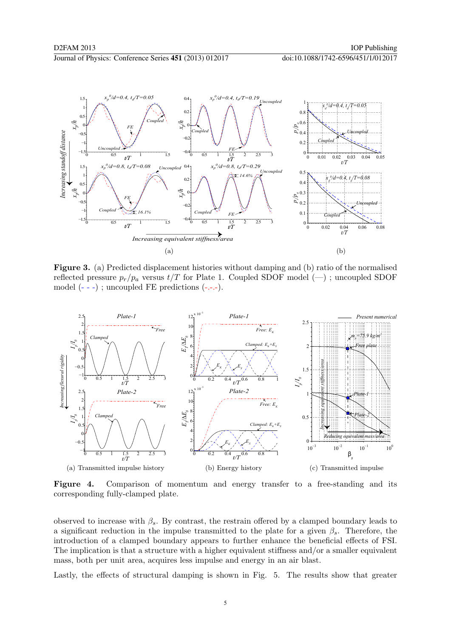#### Journal of Physics: Conference Series **451** (2013) 012017 doi:10.1088/1742-6596/451/1/012017



Figure 3. (a) Predicted displacement histories without damping and (b) ratio of the normalised reflected pressure  $p_r/p_a$  versus  $t/T$  for Plate 1. Coupled SDOF model  $(-)$ ; uncoupled SDOF model (---) ; uncoupled FE predictions (-.-.-).



Figure 4. Comparison of momentum and energy transfer to a free-standing and its corresponding fully-clamped plate.

observed to increase with  $\beta_s$ . By contrast, the restrain offered by a clamped boundary leads to a significant reduction in the impulse transmitted to the plate for a given  $\beta_s$ . Therefore, the introduction of a clamped boundary appears to further enhance the beneficial effects of FSI. The implication is that a structure with a higher equivalent stiffness and/or a smaller equivalent mass, both per unit area, acquires less impulse and energy in an air blast.

Lastly, the effects of structural damping is shown in Fig. 5. The results show that greater